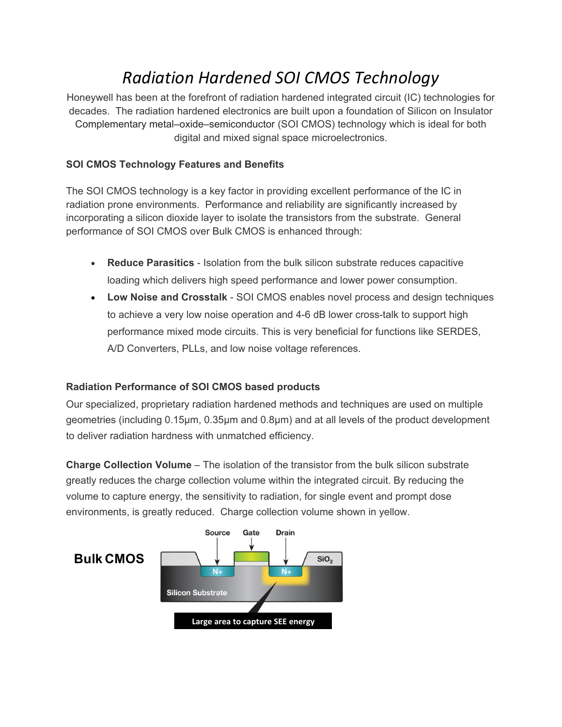# *Radiation Hardened SOI CMOS Technology*

Honeywell has been at the forefront of radiation hardened integrated circuit (IC) technologies for decades. The radiation hardened electronics are built upon a foundation of Silicon on Insulator Complementary metal–oxide–semiconductor (SOI CMOS) technology which is ideal for both digital and mixed signal space microelectronics.

## **SOI CMOS Technology Features and Benefits**

The SOI CMOS technology is a key factor in providing excellent performance of the IC in radiation prone environments. Performance and reliability are significantly increased by incorporating a silicon dioxide layer to isolate the transistors from the substrate. General performance of SOI CMOS over Bulk CMOS is enhanced through:

- **Reduce Parasitics** Isolation from the bulk silicon substrate reduces capacitive loading which delivers high speed performance and lower power consumption.
- **Low Noise and Crosstalk** SOI CMOS enables novel process and design techniques to achieve a very low noise operation and 4-6 dB lower cross-talk to support high performance mixed mode circuits. This is very beneficial for functions like SERDES, A/D Converters, PLLs, and low noise voltage references.

### **Radiation Performance of SOI CMOS based products**

Our specialized, proprietary radiation hardened methods and techniques are used on multiple geometries (including 0.15µm, 0.35µm and 0.8µm) and at all levels of the product development to deliver radiation hardness with unmatched efficiency.

**Charge Collection Volume** – The isolation of the transistor from the bulk silicon substrate greatly reduces the charge collection volume within the integrated circuit. By reducing the volume to capture energy, the sensitivity to radiation, for single event and prompt dose environments, is greatly reduced. Charge collection volume shown in yellow.

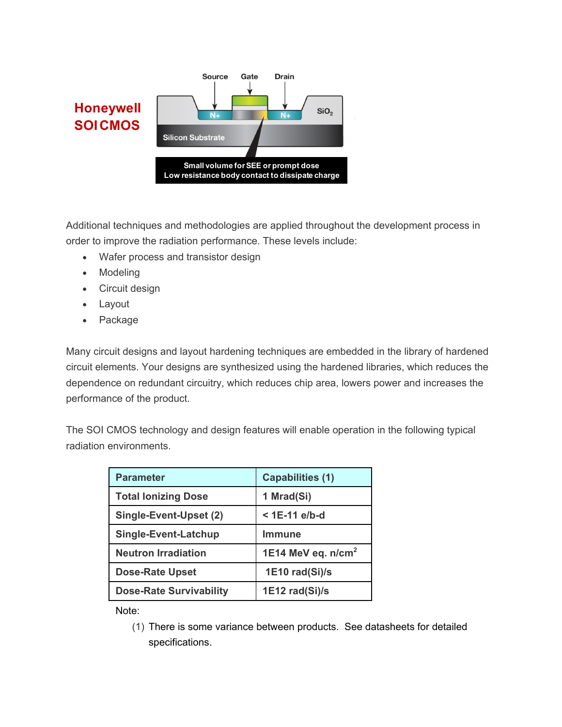

Additional techniques and methodologies are applied throughout the development process in order to improve the radiation performance. These levels include:

- Wafer process and transistor design
- Modeling
- Circuit design
- Layout
- Package

Many circuit designs and layout hardening techniques are embedded in the library of hardened circuit elements. Your designs are synthesized using the hardened libraries, which reduces the dependence on redundant circuitry, which reduces chip area, lowers power and increases the performance of the product.

The SOI CMOS technology and design features will enable operation in the following typical radiation environments.

| <b>Parameter</b>               | <b>Capabilities (1)</b> |
|--------------------------------|-------------------------|
| <b>Total lonizing Dose</b>     | 1 Mrad(Si)              |
| Single-Event-Upset (2)         | $<$ 1E-11 e/b-d         |
| Single-Event-Latchup           | Immune                  |
| <b>Neutron Irradiation</b>     | 1E14 MeV eq. $n/cm2$    |
| <b>Dose-Rate Upset</b>         | 1E10 rad(Si)/s          |
| <b>Dose-Rate Survivability</b> | 1E12 rad(Si)/s          |

Note:

(1) There is some variance between products. See datasheets for detailed specifications.